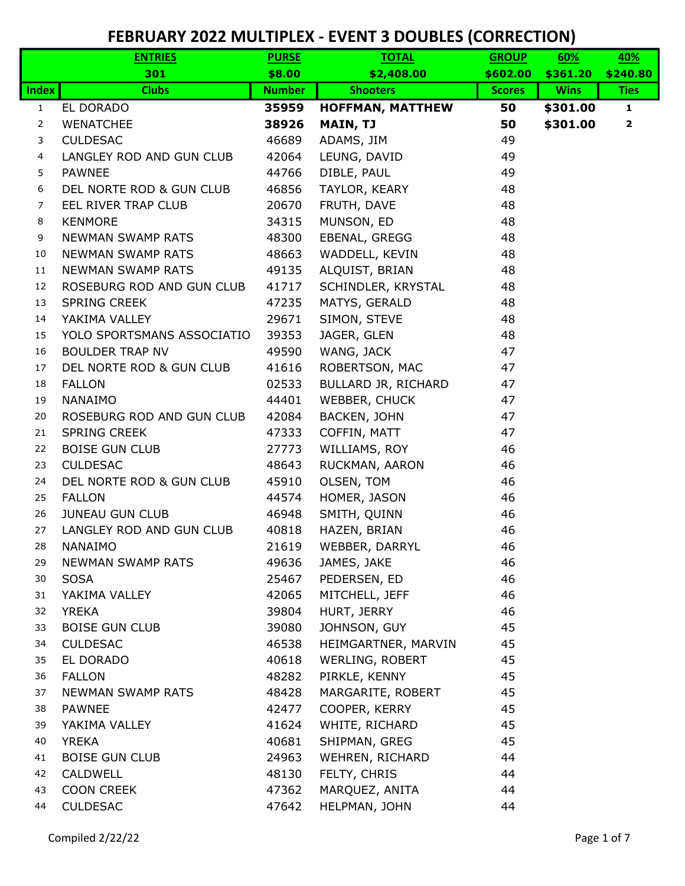|                | <b>ENTRIES</b>                  | <b>PURSE</b>   | <b>TOTAL</b>                 | <b>GROUP</b>  | 60%         | 40%          |
|----------------|---------------------------------|----------------|------------------------------|---------------|-------------|--------------|
|                | 301                             | \$8.00         | \$2,408.00                   | \$602.00      | \$361.20    | \$240.80     |
| <b>Index</b>   | <b>Clubs</b>                    | <b>Number</b>  | <b>Shooters</b>              | <b>Scores</b> | <b>Wins</b> | <b>Ties</b>  |
| $\mathbf{1}$   | EL DORADO                       | 35959          | <b>HOFFMAN, MATTHEW</b>      | 50            | \$301.00    | $\mathbf{1}$ |
| $\overline{2}$ | <b>WENATCHEE</b>                | 38926          | MAIN, TJ                     | 50            | \$301.00    | $\mathbf{2}$ |
| 3              | <b>CULDESAC</b>                 | 46689          | ADAMS, JIM                   | 49            |             |              |
| 4              | LANGLEY ROD AND GUN CLUB        | 42064          | LEUNG, DAVID                 | 49            |             |              |
| 5              | <b>PAWNEE</b>                   | 44766          | DIBLE, PAUL                  | 49            |             |              |
| 6              | DEL NORTE ROD & GUN CLUB        | 46856          | TAYLOR, KEARY                | 48            |             |              |
| $\overline{7}$ | EEL RIVER TRAP CLUB             | 20670          | FRUTH, DAVE                  | 48            |             |              |
| 8              | <b>KENMORE</b>                  | 34315          | MUNSON, ED                   | 48            |             |              |
| 9              | <b>NEWMAN SWAMP RATS</b>        | 48300          | EBENAL, GREGG                | 48            |             |              |
| 10             | <b>NEWMAN SWAMP RATS</b>        | 48663          | WADDELL, KEVIN               | 48            |             |              |
| 11             | <b>NEWMAN SWAMP RATS</b>        | 49135          | ALQUIST, BRIAN               | 48            |             |              |
| 12             | ROSEBURG ROD AND GUN CLUB       | 41717          | SCHINDLER, KRYSTAL           | 48            |             |              |
| 13             | <b>SPRING CREEK</b>             | 47235          | MATYS, GERALD                | 48            |             |              |
| 14             | YAKIMA VALLEY                   | 29671          | SIMON, STEVE                 | 48            |             |              |
| 15             | YOLO SPORTSMANS ASSOCIATIO      | 39353          | JAGER, GLEN                  | 48            |             |              |
| 16             | <b>BOULDER TRAP NV</b>          | 49590          | WANG, JACK                   | 47            |             |              |
| 17             | DEL NORTE ROD & GUN CLUB        | 41616          | ROBERTSON, MAC               | 47            |             |              |
| 18<br>19       | <b>FALLON</b><br><b>NANAIMO</b> | 02533          | BULLARD JR, RICHARD          | 47            |             |              |
| 20             | ROSEBURG ROD AND GUN CLUB       | 44401<br>42084 | WEBBER, CHUCK                | 47<br>47      |             |              |
| 21             | <b>SPRING CREEK</b>             | 47333          | BACKEN, JOHN<br>COFFIN, MATT | 47            |             |              |
| 22             | <b>BOISE GUN CLUB</b>           | 27773          | WILLIAMS, ROY                | 46            |             |              |
| 23             | <b>CULDESAC</b>                 | 48643          | RUCKMAN, AARON               | 46            |             |              |
| 24             | DEL NORTE ROD & GUN CLUB        | 45910          | OLSEN, TOM                   | 46            |             |              |
| 25             | <b>FALLON</b>                   | 44574          | HOMER, JASON                 | 46            |             |              |
| 26             | <b>JUNEAU GUN CLUB</b>          | 46948          | SMITH, QUINN                 | 46            |             |              |
| 27             | LANGLEY ROD AND GUN CLUB        | 40818          | HAZEN, BRIAN                 | 46            |             |              |
| 28             | NANAIMO                         | 21619          | WEBBER, DARRYL               | 46            |             |              |
| 29             | NEWMAN SWAMP RATS               | 49636          | JAMES, JAKE                  | 46            |             |              |
| 30             | <b>SOSA</b>                     | 25467          | PEDERSEN, ED                 | 46            |             |              |
| 31             | YAKIMA VALLEY                   | 42065          | MITCHELL, JEFF               | 46            |             |              |
| 32             | <b>YREKA</b>                    | 39804          | HURT, JERRY                  | 46            |             |              |
| 33             | <b>BOISE GUN CLUB</b>           | 39080          | JOHNSON, GUY                 | 45            |             |              |
| 34             | <b>CULDESAC</b>                 | 46538          | HEIMGARTNER, MARVIN          | 45            |             |              |
| 35             | EL DORADO                       | 40618          | WERLING, ROBERT              | 45            |             |              |
| 36             | <b>FALLON</b>                   | 48282          | PIRKLE, KENNY                | 45            |             |              |
| 37             | NEWMAN SWAMP RATS               | 48428          | MARGARITE, ROBERT            | 45            |             |              |
| 38             | <b>PAWNEE</b>                   | 42477          | COOPER, KERRY                | 45            |             |              |
| 39             | YAKIMA VALLEY                   | 41624          | WHITE, RICHARD               | 45            |             |              |
| 40             | <b>YREKA</b>                    | 40681          | SHIPMAN, GREG                | 45            |             |              |
| 41             | <b>BOISE GUN CLUB</b>           | 24963          | WEHREN, RICHARD              | 44            |             |              |
| 42             | CALDWELL                        | 48130          | FELTY, CHRIS                 | 44            |             |              |
| 43             | <b>COON CREEK</b>               | 47362          | MARQUEZ, ANITA               | 44            |             |              |
| 44             | <b>CULDESAC</b>                 | 47642          | HELPMAN, JOHN                | 44            |             |              |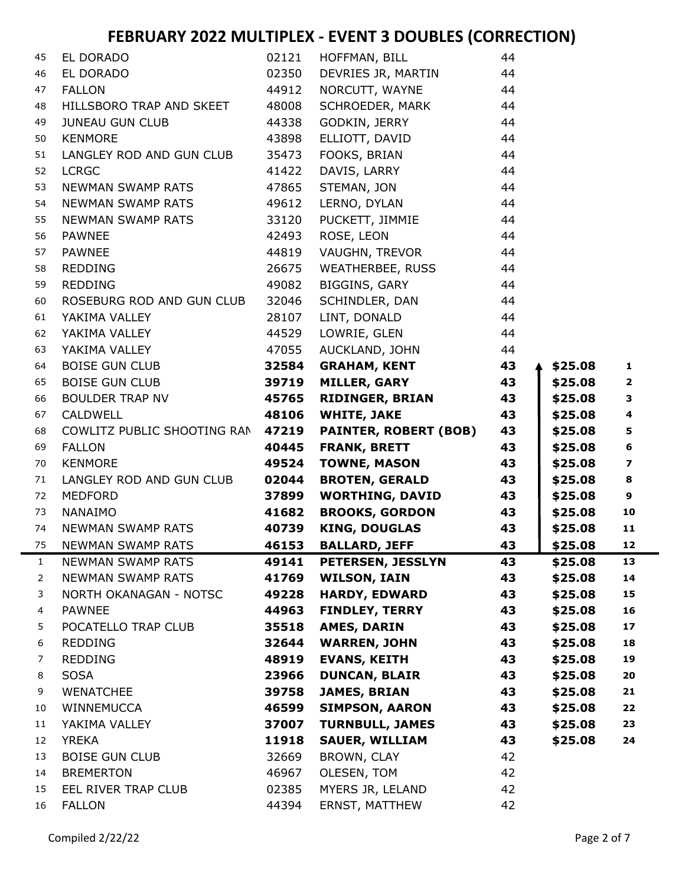| 45           | EL DORADO                   | 02121 | HOFFMAN, BILL                | 44 |         |                         |
|--------------|-----------------------------|-------|------------------------------|----|---------|-------------------------|
| 46           | EL DORADO                   | 02350 | DEVRIES JR, MARTIN           | 44 |         |                         |
| 47           | <b>FALLON</b>               | 44912 | NORCUTT, WAYNE               | 44 |         |                         |
| 48           | HILLSBORO TRAP AND SKEET    | 48008 | SCHROEDER, MARK              | 44 |         |                         |
| 49           | <b>JUNEAU GUN CLUB</b>      | 44338 | GODKIN, JERRY                | 44 |         |                         |
| 50           | <b>KENMORE</b>              | 43898 | ELLIOTT, DAVID               | 44 |         |                         |
| 51           | LANGLEY ROD AND GUN CLUB    | 35473 | FOOKS, BRIAN                 | 44 |         |                         |
| 52           | <b>LCRGC</b>                | 41422 | DAVIS, LARRY                 | 44 |         |                         |
| 53           | NEWMAN SWAMP RATS           | 47865 | STEMAN, JON                  | 44 |         |                         |
| 54           | NEWMAN SWAMP RATS           | 49612 | LERNO, DYLAN                 | 44 |         |                         |
| 55           | <b>NEWMAN SWAMP RATS</b>    | 33120 | PUCKETT, JIMMIE              | 44 |         |                         |
| 56           | <b>PAWNEE</b>               | 42493 | ROSE, LEON                   | 44 |         |                         |
| 57           | <b>PAWNEE</b>               | 44819 | VAUGHN, TREVOR               | 44 |         |                         |
| 58           | <b>REDDING</b>              | 26675 | WEATHERBEE, RUSS             | 44 |         |                         |
| 59           | <b>REDDING</b>              | 49082 | BIGGINS, GARY                | 44 |         |                         |
| 60           | ROSEBURG ROD AND GUN CLUB   | 32046 | SCHINDLER, DAN               | 44 |         |                         |
| 61           | YAKIMA VALLEY               | 28107 | LINT, DONALD                 | 44 |         |                         |
| 62           | YAKIMA VALLEY               | 44529 | LOWRIE, GLEN                 | 44 |         |                         |
| 63           | YAKIMA VALLEY               | 47055 | AUCKLAND, JOHN               | 44 |         |                         |
| 64           | <b>BOISE GUN CLUB</b>       | 32584 | <b>GRAHAM, KENT</b>          | 43 | \$25.08 | $\mathbf{1}$            |
| 65           | <b>BOISE GUN CLUB</b>       | 39719 | <b>MILLER, GARY</b>          | 43 | \$25.08 | $\mathbf{2}$            |
| 66           | <b>BOULDER TRAP NV</b>      | 45765 | <b>RIDINGER, BRIAN</b>       | 43 | \$25.08 | З                       |
| 67           | CALDWELL                    | 48106 | <b>WHITE, JAKE</b>           | 43 | \$25.08 | $\overline{\mathbf{4}}$ |
| 68           | COWLITZ PUBLIC SHOOTING RAN | 47219 | <b>PAINTER, ROBERT (BOB)</b> | 43 | \$25.08 | 5                       |
| 69           | <b>FALLON</b>               | 40445 | <b>FRANK, BRETT</b>          | 43 | \$25.08 | $\bf 6$                 |
| 70           | <b>KENMORE</b>              | 49524 | <b>TOWNE, MASON</b>          | 43 | \$25.08 | 7                       |
| 71           | LANGLEY ROD AND GUN CLUB    | 02044 | <b>BROTEN, GERALD</b>        | 43 | \$25.08 | 8                       |
| 72           | <b>MEDFORD</b>              | 37899 | <b>WORTHING, DAVID</b>       | 43 | \$25.08 | 9                       |
| 73           | <b>NANAIMO</b>              | 41682 | <b>BROOKS, GORDON</b>        | 43 | \$25.08 | 10                      |
| 74           | <b>NEWMAN SWAMP RATS</b>    | 40739 | <b>KING, DOUGLAS</b>         | 43 | \$25.08 | 11                      |
| 75           | <b>NEWMAN SWAMP RATS</b>    | 46153 | <b>BALLARD, JEFF</b>         | 43 | \$25.08 | 12                      |
| $\mathbf{1}$ | NEWMAN SWAMP RATS           | 49141 | <b>PETERSEN, JESSLYN</b>     | 43 | \$25.08 | 13                      |
| 2            | NEWMAN SWAMP RATS           | 41769 | <b>WILSON, IAIN</b>          | 43 | \$25.08 | 14                      |
| 3            | NORTH OKANAGAN - NOTSC      | 49228 | <b>HARDY, EDWARD</b>         | 43 | \$25.08 | 15                      |
| 4            | <b>PAWNEE</b>               | 44963 | <b>FINDLEY, TERRY</b>        | 43 | \$25.08 | 16                      |
| 5.           | POCATELLO TRAP CLUB         | 35518 | <b>AMES, DARIN</b>           | 43 | \$25.08 | 17                      |
| 6            | <b>REDDING</b>              | 32644 | <b>WARREN, JOHN</b>          | 43 | \$25.08 | 18                      |
| 7            | <b>REDDING</b>              | 48919 | <b>EVANS, KEITH</b>          | 43 | \$25.08 | 19                      |
| 8            | <b>SOSA</b>                 | 23966 | <b>DUNCAN, BLAIR</b>         | 43 | \$25.08 | 20                      |
| 9            | <b>WENATCHEE</b>            | 39758 | <b>JAMES, BRIAN</b>          | 43 | \$25.08 | 21                      |
| 10           | WINNEMUCCA                  | 46599 | <b>SIMPSON, AARON</b>        | 43 | \$25.08 | 22                      |
| 11           | YAKIMA VALLEY               | 37007 | <b>TURNBULL, JAMES</b>       | 43 | \$25.08 | 23                      |
| 12           | <b>YREKA</b>                | 11918 | <b>SAUER, WILLIAM</b>        | 43 | \$25.08 | 24                      |
| 13           | <b>BOISE GUN CLUB</b>       | 32669 | BROWN, CLAY                  | 42 |         |                         |
| 14           | <b>BREMERTON</b>            | 46967 | OLESEN, TOM                  | 42 |         |                         |
| 15           | EEL RIVER TRAP CLUB         | 02385 | MYERS JR, LELAND             | 42 |         |                         |
| 16           | <b>FALLON</b>               | 44394 | ERNST, MATTHEW               | 42 |         |                         |
|              |                             |       |                              |    |         |                         |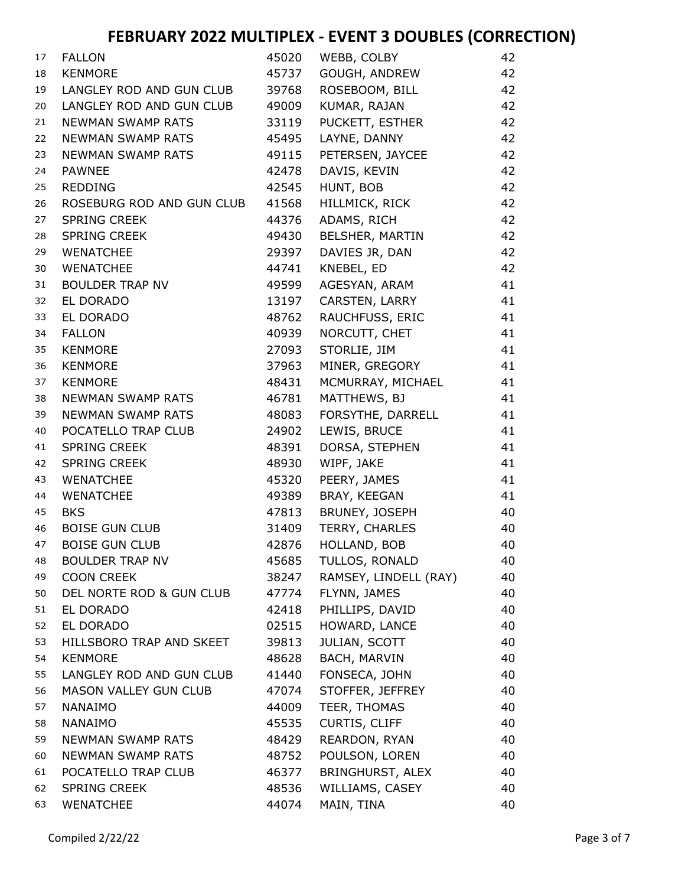| 17 | <b>FALLON</b>             | 45020 | WEBB, COLBY           | 42 |
|----|---------------------------|-------|-----------------------|----|
| 18 | <b>KENMORE</b>            | 45737 | GOUGH, ANDREW         | 42 |
| 19 | LANGLEY ROD AND GUN CLUB  | 39768 | ROSEBOOM, BILL        | 42 |
| 20 | LANGLEY ROD AND GUN CLUB  | 49009 | KUMAR, RAJAN          | 42 |
| 21 | <b>NEWMAN SWAMP RATS</b>  | 33119 | PUCKETT, ESTHER       | 42 |
| 22 | NEWMAN SWAMP RATS         | 45495 | LAYNE, DANNY          | 42 |
| 23 | <b>NEWMAN SWAMP RATS</b>  | 49115 | PETERSEN, JAYCEE      | 42 |
| 24 | <b>PAWNEE</b>             | 42478 | DAVIS, KEVIN          | 42 |
| 25 | <b>REDDING</b>            | 42545 | HUNT, BOB             | 42 |
| 26 | ROSEBURG ROD AND GUN CLUB | 41568 | HILLMICK, RICK        | 42 |
| 27 | <b>SPRING CREEK</b>       | 44376 | ADAMS, RICH           | 42 |
| 28 | <b>SPRING CREEK</b>       | 49430 | BELSHER, MARTIN       | 42 |
| 29 | <b>WENATCHEE</b>          | 29397 | DAVIES JR, DAN        | 42 |
| 30 | <b>WENATCHEE</b>          | 44741 | KNEBEL, ED            | 42 |
| 31 | <b>BOULDER TRAP NV</b>    | 49599 | AGESYAN, ARAM         | 41 |
| 32 | EL DORADO                 | 13197 | CARSTEN, LARRY        | 41 |
| 33 | EL DORADO                 | 48762 | RAUCHFUSS, ERIC       | 41 |
| 34 | <b>FALLON</b>             | 40939 | NORCUTT, CHET         | 41 |
| 35 | <b>KENMORE</b>            | 27093 | STORLIE, JIM          | 41 |
| 36 | <b>KENMORE</b>            | 37963 | MINER, GREGORY        | 41 |
| 37 | <b>KENMORE</b>            | 48431 | MCMURRAY, MICHAEL     | 41 |
| 38 | <b>NEWMAN SWAMP RATS</b>  | 46781 | MATTHEWS, BJ          | 41 |
| 39 | <b>NEWMAN SWAMP RATS</b>  | 48083 | FORSYTHE, DARRELL     | 41 |
| 40 | POCATELLO TRAP CLUB       | 24902 | LEWIS, BRUCE          | 41 |
| 41 | <b>SPRING CREEK</b>       | 48391 | DORSA, STEPHEN        | 41 |
| 42 | <b>SPRING CREEK</b>       | 48930 | WIPF, JAKE            | 41 |
| 43 | <b>WENATCHEE</b>          | 45320 | PEERY, JAMES          | 41 |
| 44 | <b>WENATCHEE</b>          | 49389 | BRAY, KEEGAN          | 41 |
| 45 | <b>BKS</b>                | 47813 | BRUNEY, JOSEPH        | 40 |
| 46 | <b>BOISE GUN CLUB</b>     | 31409 | TERRY, CHARLES        | 40 |
| 47 | <b>BOISE GUN CLUB</b>     | 42876 | HOLLAND, BOB          | 40 |
| 48 | <b>BOULDER TRAP NV</b>    | 45685 | TULLOS, RONALD        | 40 |
| 49 | <b>COON CREEK</b>         | 38247 | RAMSEY, LINDELL (RAY) | 40 |
| 50 | DEL NORTE ROD & GUN CLUB  | 47774 | FLYNN, JAMES          | 40 |
| 51 | EL DORADO                 | 42418 | PHILLIPS, DAVID       | 40 |
| 52 | EL DORADO                 | 02515 | HOWARD, LANCE         | 40 |
| 53 | HILLSBORO TRAP AND SKEET  | 39813 | JULIAN, SCOTT         | 40 |
| 54 | <b>KENMORE</b>            | 48628 | BACH, MARVIN          | 40 |
| 55 | LANGLEY ROD AND GUN CLUB  | 41440 | FONSECA, JOHN         | 40 |
| 56 | MASON VALLEY GUN CLUB     | 47074 | STOFFER, JEFFREY      | 40 |
| 57 | <b>NANAIMO</b>            | 44009 | TEER, THOMAS          | 40 |
| 58 | <b>NANAIMO</b>            | 45535 | <b>CURTIS, CLIFF</b>  | 40 |
| 59 | <b>NEWMAN SWAMP RATS</b>  | 48429 | REARDON, RYAN         | 40 |
| 60 | <b>NEWMAN SWAMP RATS</b>  | 48752 | POULSON, LOREN        | 40 |
| 61 | POCATELLO TRAP CLUB       | 46377 | BRINGHURST, ALEX      | 40 |
| 62 | <b>SPRING CREEK</b>       | 48536 | WILLIAMS, CASEY       | 40 |
| 63 | <b>WENATCHEE</b>          | 44074 | MAIN, TINA            | 40 |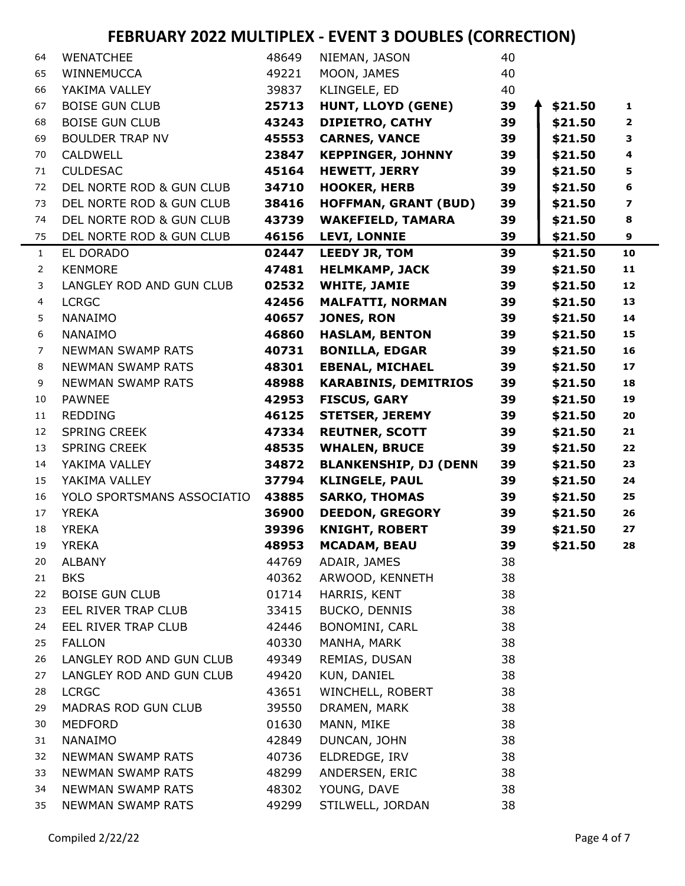| 64             | <b>WENATCHEE</b>           | 48649 | NIEMAN, JASON                | 40 |         |                          |
|----------------|----------------------------|-------|------------------------------|----|---------|--------------------------|
| 65             | WINNEMUCCA                 | 49221 | MOON, JAMES                  | 40 |         |                          |
| 66             | YAKIMA VALLEY              | 39837 | KLINGELE, ED                 | 40 |         |                          |
| 67             | <b>BOISE GUN CLUB</b>      | 25713 | HUNT, LLOYD (GENE)           | 39 | \$21.50 | $\mathbf{1}$             |
| 68             | <b>BOISE GUN CLUB</b>      | 43243 | <b>DIPIETRO, CATHY</b>       | 39 | \$21.50 | $\overline{2}$           |
| 69             | <b>BOULDER TRAP NV</b>     | 45553 | <b>CARNES, VANCE</b>         | 39 | \$21.50 | 3                        |
| 70             | <b>CALDWELL</b>            | 23847 | <b>KEPPINGER, JOHNNY</b>     | 39 | \$21.50 | $\overline{\mathbf{4}}$  |
| 71             | <b>CULDESAC</b>            | 45164 | <b>HEWETT, JERRY</b>         | 39 | \$21.50 | 5                        |
| 72             | DEL NORTE ROD & GUN CLUB   | 34710 | <b>HOOKER, HERB</b>          | 39 | \$21.50 | 6                        |
| 73             | DEL NORTE ROD & GUN CLUB   | 38416 | <b>HOFFMAN, GRANT (BUD)</b>  | 39 | \$21.50 | $\overline{\phantom{a}}$ |
| 74             | DEL NORTE ROD & GUN CLUB   | 43739 | <b>WAKEFIELD, TAMARA</b>     | 39 | \$21.50 | 8                        |
| 75             | DEL NORTE ROD & GUN CLUB   | 46156 | <b>LEVI, LONNIE</b>          | 39 | \$21.50 | 9                        |
| $\mathbf{1}$   | EL DORADO                  | 02447 | <b>LEEDY JR, TOM</b>         | 39 | \$21.50 | 10                       |
| $\overline{2}$ | <b>KENMORE</b>             | 47481 | <b>HELMKAMP, JACK</b>        | 39 | \$21.50 | 11                       |
| 3              | LANGLEY ROD AND GUN CLUB   | 02532 | <b>WHITE, JAMIE</b>          | 39 | \$21.50 | 12                       |
| 4              | <b>LCRGC</b>               | 42456 | <b>MALFATTI, NORMAN</b>      | 39 | \$21.50 | 13                       |
| 5              | <b>NANAIMO</b>             | 40657 | <b>JONES, RON</b>            | 39 | \$21.50 | 14                       |
| 6              | <b>NANAIMO</b>             | 46860 | <b>HASLAM, BENTON</b>        | 39 | \$21.50 | 15                       |
| $\overline{7}$ | <b>NEWMAN SWAMP RATS</b>   | 40731 | <b>BONILLA, EDGAR</b>        | 39 | \$21.50 | 16                       |
| 8              | <b>NEWMAN SWAMP RATS</b>   | 48301 | <b>EBENAL, MICHAEL</b>       | 39 | \$21.50 | 17                       |
| 9              | <b>NEWMAN SWAMP RATS</b>   | 48988 | <b>KARABINIS, DEMITRIOS</b>  | 39 | \$21.50 | 18                       |
| 10             | <b>PAWNEE</b>              | 42953 | <b>FISCUS, GARY</b>          | 39 | \$21.50 | 19                       |
| 11             | <b>REDDING</b>             | 46125 | <b>STETSER, JEREMY</b>       | 39 | \$21.50 | 20                       |
| 12             | <b>SPRING CREEK</b>        | 47334 | <b>REUTNER, SCOTT</b>        | 39 | \$21.50 | 21                       |
| 13             | <b>SPRING CREEK</b>        | 48535 | <b>WHALEN, BRUCE</b>         | 39 | \$21.50 | 22                       |
| 14             | YAKIMA VALLEY              | 34872 | <b>BLANKENSHIP, DJ (DENN</b> | 39 | \$21.50 | 23                       |
| 15             | YAKIMA VALLEY              | 37794 | <b>KLINGELE, PAUL</b>        | 39 | \$21.50 | 24                       |
| 16             | YOLO SPORTSMANS ASSOCIATIO | 43885 | <b>SARKO, THOMAS</b>         | 39 | \$21.50 | 25                       |
| 17             | <b>YREKA</b>               | 36900 | <b>DEEDON, GREGORY</b>       | 39 | \$21.50 | 26                       |
| 18             | <b>YREKA</b>               | 39396 | <b>KNIGHT, ROBERT</b>        | 39 | \$21.50 | 27                       |
| 19             | <b>YREKA</b>               | 48953 | <b>MCADAM, BEAU</b>          | 39 | \$21.50 | 28                       |
| 20             | <b>ALBANY</b>              | 44769 | ADAIR, JAMES                 | 38 |         |                          |
| 21             | <b>BKS</b>                 | 40362 | ARWOOD, KENNETH              | 38 |         |                          |
| 22             | <b>BOISE GUN CLUB</b>      | 01714 | HARRIS, KENT                 | 38 |         |                          |
| 23             | EEL RIVER TRAP CLUB        | 33415 | BUCKO, DENNIS                | 38 |         |                          |
| 24             | EEL RIVER TRAP CLUB        | 42446 | BONOMINI, CARL               | 38 |         |                          |
| 25             | <b>FALLON</b>              | 40330 | MANHA, MARK                  | 38 |         |                          |
| 26             | LANGLEY ROD AND GUN CLUB   | 49349 | REMIAS, DUSAN                | 38 |         |                          |
| 27             | LANGLEY ROD AND GUN CLUB   | 49420 | KUN, DANIEL                  | 38 |         |                          |
| 28             | <b>LCRGC</b>               | 43651 | WINCHELL, ROBERT             | 38 |         |                          |
| 29             | MADRAS ROD GUN CLUB        | 39550 | DRAMEN, MARK                 | 38 |         |                          |
| 30             | MEDFORD                    | 01630 | MANN, MIKE                   | 38 |         |                          |
| 31             | <b>NANAIMO</b>             | 42849 | DUNCAN, JOHN                 | 38 |         |                          |
| 32             | NEWMAN SWAMP RATS          | 40736 | ELDREDGE, IRV                | 38 |         |                          |
| 33             | <b>NEWMAN SWAMP RATS</b>   | 48299 | ANDERSEN, ERIC               | 38 |         |                          |
| 34             | NEWMAN SWAMP RATS          | 48302 | YOUNG, DAVE                  | 38 |         |                          |
| 35             | <b>NEWMAN SWAMP RATS</b>   | 49299 | STILWELL, JORDAN             | 38 |         |                          |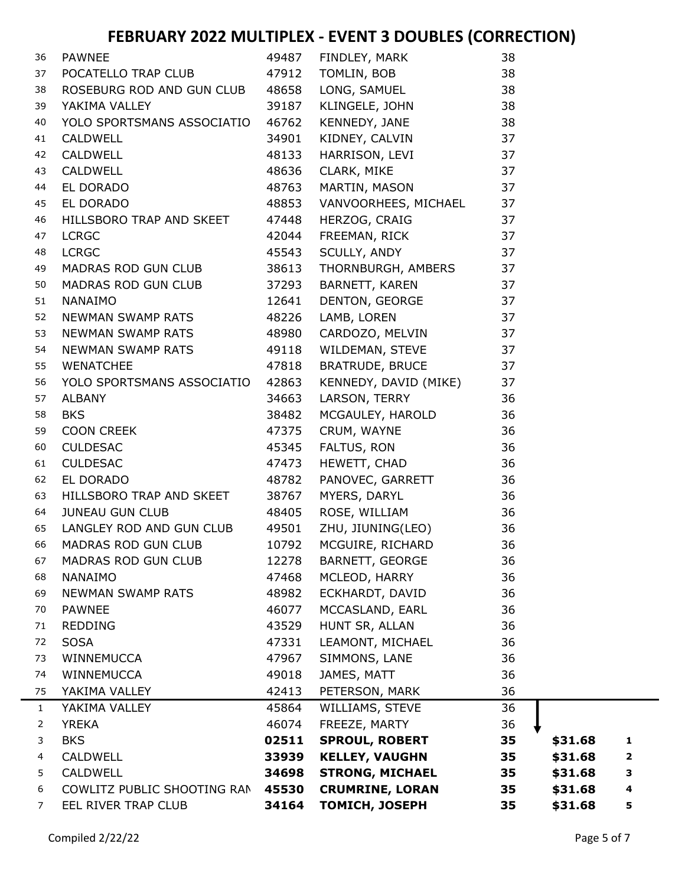| 36             | <b>PAWNEE</b>               | 49487 | FINDLEY, MARK          | 38 |         |   |
|----------------|-----------------------------|-------|------------------------|----|---------|---|
| 37             | POCATELLO TRAP CLUB         | 47912 | TOMLIN, BOB            | 38 |         |   |
| 38             | ROSEBURG ROD AND GUN CLUB   | 48658 | LONG, SAMUEL           | 38 |         |   |
| 39             | YAKIMA VALLEY               | 39187 | KLINGELE, JOHN         | 38 |         |   |
| 40             | YOLO SPORTSMANS ASSOCIATIO  | 46762 | KENNEDY, JANE          | 38 |         |   |
| 41             | CALDWELL                    | 34901 | KIDNEY, CALVIN         | 37 |         |   |
| 42             | CALDWELL                    | 48133 | HARRISON, LEVI         | 37 |         |   |
| 43             | CALDWELL                    | 48636 | CLARK, MIKE            | 37 |         |   |
| 44             | EL DORADO                   | 48763 | MARTIN, MASON          | 37 |         |   |
| 45             | EL DORADO                   | 48853 | VANVOORHEES, MICHAEL   | 37 |         |   |
| 46             | HILLSBORO TRAP AND SKEET    | 47448 | HERZOG, CRAIG          | 37 |         |   |
| 47             | <b>LCRGC</b>                | 42044 | FREEMAN, RICK          | 37 |         |   |
| 48             | <b>LCRGC</b>                | 45543 | SCULLY, ANDY           | 37 |         |   |
| 49             | MADRAS ROD GUN CLUB         | 38613 | THORNBURGH, AMBERS     | 37 |         |   |
| 50             | MADRAS ROD GUN CLUB         | 37293 | BARNETT, KAREN         | 37 |         |   |
| 51             | <b>NANAIMO</b>              | 12641 | DENTON, GEORGE         | 37 |         |   |
| 52             | NEWMAN SWAMP RATS           | 48226 | LAMB, LOREN            | 37 |         |   |
| 53             | NEWMAN SWAMP RATS           | 48980 | CARDOZO, MELVIN        | 37 |         |   |
| 54             | NEWMAN SWAMP RATS           | 49118 | WILDEMAN, STEVE        | 37 |         |   |
| 55             | <b>WENATCHEE</b>            | 47818 | <b>BRATRUDE, BRUCE</b> | 37 |         |   |
| 56             | YOLO SPORTSMANS ASSOCIATIO  | 42863 | KENNEDY, DAVID (MIKE)  | 37 |         |   |
| 57             | <b>ALBANY</b>               | 34663 | LARSON, TERRY          | 36 |         |   |
| 58             | <b>BKS</b>                  | 38482 | MCGAULEY, HAROLD       | 36 |         |   |
| 59             | COON CREEK                  | 47375 | CRUM, WAYNE            | 36 |         |   |
| 60             | <b>CULDESAC</b>             | 45345 | FALTUS, RON            | 36 |         |   |
| 61             | <b>CULDESAC</b>             | 47473 | HEWETT, CHAD           | 36 |         |   |
| 62             | EL DORADO                   | 48782 | PANOVEC, GARRETT       | 36 |         |   |
| 63             | HILLSBORO TRAP AND SKEET    | 38767 | MYERS, DARYL           | 36 |         |   |
| 64             | <b>JUNEAU GUN CLUB</b>      | 48405 | ROSE, WILLIAM          | 36 |         |   |
| 65             | LANGLEY ROD AND GUN CLUB    | 49501 | ZHU, JIUNING(LEO)      | 36 |         |   |
| 66             | MADRAS ROD GUN CLUB         | 10792 | MCGUIRE, RICHARD       | 36 |         |   |
| 67             | MADRAS ROD GUN CLUB         | 12278 | <b>BARNETT, GEORGE</b> | 36 |         |   |
| 68             | <b>NANAIMO</b>              | 47468 | MCLEOD, HARRY          | 36 |         |   |
| 69             | <b>NEWMAN SWAMP RATS</b>    | 48982 | ECKHARDT, DAVID        | 36 |         |   |
| 70             | <b>PAWNEE</b>               | 46077 | MCCASLAND, EARL        | 36 |         |   |
| 71             | <b>REDDING</b>              | 43529 | HUNT SR, ALLAN         | 36 |         |   |
| 72             | <b>SOSA</b>                 | 47331 | LEAMONT, MICHAEL       | 36 |         |   |
| 73             | WINNEMUCCA                  | 47967 | SIMMONS, LANE          | 36 |         |   |
| 74             | WINNEMUCCA                  | 49018 | JAMES, MATT            | 36 |         |   |
| 75             | YAKIMA VALLEY               | 42413 | PETERSON, MARK         | 36 |         |   |
| $\mathbf{1}$   | YAKIMA VALLEY               | 45864 | WILLIAMS, STEVE        | 36 |         |   |
| 2              | <b>YREKA</b>                | 46074 | FREEZE, MARTY          | 36 |         |   |
| 3              | <b>BKS</b>                  | 02511 | <b>SPROUL, ROBERT</b>  | 35 | \$31.68 | 1 |
| 4              | <b>CALDWELL</b>             | 33939 | <b>KELLEY, VAUGHN</b>  | 35 | \$31.68 | 2 |
| 5              | <b>CALDWELL</b>             | 34698 | <b>STRONG, MICHAEL</b> | 35 | \$31.68 | 3 |
| 6              | COWLITZ PUBLIC SHOOTING RAN | 45530 | <b>CRUMRINE, LORAN</b> | 35 | \$31.68 | 4 |
| $\overline{7}$ | EEL RIVER TRAP CLUB         | 34164 | <b>TOMICH, JOSEPH</b>  | 35 | \$31.68 | 5 |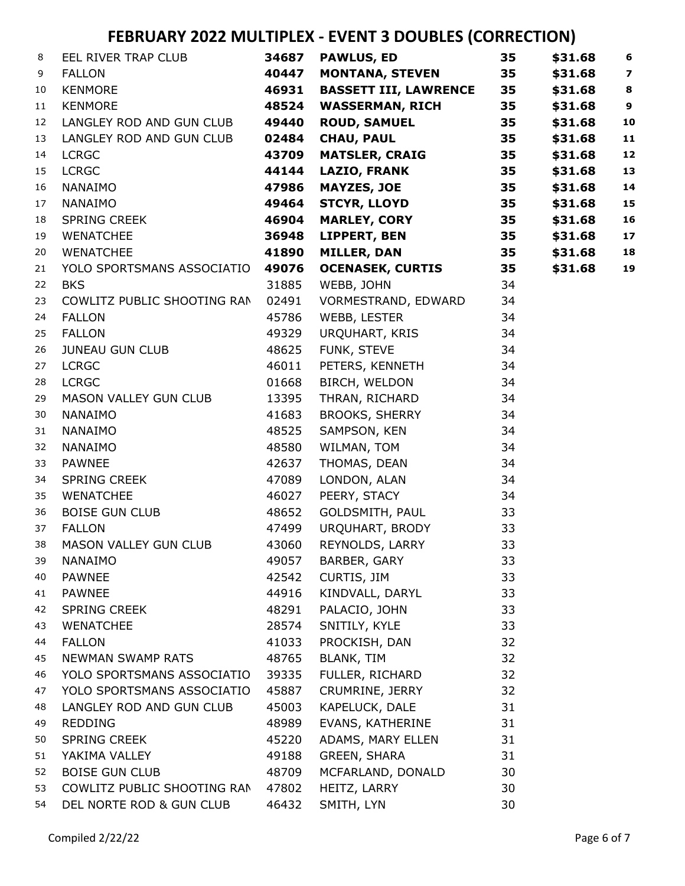| 8  | EEL RIVER TRAP CLUB               | 34687 | <b>PAWLUS, ED</b>            | 35 | \$31.68 | $\boldsymbol{6}$        |
|----|-----------------------------------|-------|------------------------------|----|---------|-------------------------|
| 9  | <b>FALLON</b>                     | 40447 | <b>MONTANA, STEVEN</b>       | 35 | \$31.68 | $\overline{\mathbf{z}}$ |
| 10 | <b>KENMORE</b>                    | 46931 | <b>BASSETT III, LAWRENCE</b> | 35 | \$31.68 | $\bf8$                  |
| 11 | <b>KENMORE</b>                    | 48524 | <b>WASSERMAN, RICH</b>       | 35 | \$31.68 | $\boldsymbol{9}$        |
| 12 | LANGLEY ROD AND GUN CLUB          | 49440 | <b>ROUD, SAMUEL</b>          | 35 | \$31.68 | 10                      |
| 13 | LANGLEY ROD AND GUN CLUB          | 02484 | <b>CHAU, PAUL</b>            | 35 | \$31.68 | 11                      |
| 14 | <b>LCRGC</b>                      | 43709 | <b>MATSLER, CRAIG</b>        | 35 | \$31.68 | 12                      |
| 15 | <b>LCRGC</b>                      | 44144 | <b>LAZIO, FRANK</b>          | 35 | \$31.68 | 13                      |
| 16 | NANAIMO                           | 47986 | <b>MAYZES, JOE</b>           | 35 | \$31.68 | 14                      |
| 17 | NANAIMO                           | 49464 | <b>STCYR, LLOYD</b>          | 35 | \$31.68 | 15                      |
| 18 | SPRING CREEK                      | 46904 | <b>MARLEY, CORY</b>          | 35 | \$31.68 | 16                      |
| 19 | <b>WENATCHEE</b>                  | 36948 | LIPPERT, BEN                 | 35 | \$31.68 | 17                      |
| 20 | <b>WENATCHEE</b>                  | 41890 | <b>MILLER, DAN</b>           | 35 | \$31.68 | 18                      |
| 21 | YOLO SPORTSMANS ASSOCIATIO 49076  |       | <b>OCENASEK, CURTIS</b>      | 35 | \$31.68 | 19                      |
| 22 | <b>BKS</b>                        | 31885 | WEBB, JOHN                   | 34 |         |                         |
| 23 | COWLITZ PUBLIC SHOOTING RAN       | 02491 | VORMESTRAND, EDWARD          | 34 |         |                         |
| 24 | <b>FALLON</b>                     | 45786 | WEBB, LESTER                 | 34 |         |                         |
| 25 | <b>FALLON</b>                     | 49329 | URQUHART, KRIS               | 34 |         |                         |
| 26 | <b>JUNEAU GUN CLUB</b>            | 48625 | FUNK, STEVE                  | 34 |         |                         |
| 27 | <b>LCRGC</b>                      | 46011 | PETERS, KENNETH              | 34 |         |                         |
| 28 | <b>LCRGC</b>                      | 01668 | BIRCH, WELDON                | 34 |         |                         |
| 29 | MASON VALLEY GUN CLUB             | 13395 | THRAN, RICHARD               | 34 |         |                         |
| 30 | <b>NANAIMO</b>                    | 41683 | <b>BROOKS, SHERRY</b>        | 34 |         |                         |
| 31 | NANAIMO                           | 48525 | SAMPSON, KEN                 | 34 |         |                         |
| 32 | NANAIMO                           | 48580 | WILMAN, TOM                  | 34 |         |                         |
| 33 | <b>PAWNEE</b>                     | 42637 | THOMAS, DEAN                 | 34 |         |                         |
| 34 | SPRING CREEK                      | 47089 | LONDON, ALAN                 | 34 |         |                         |
| 35 | <b>WENATCHEE</b>                  | 46027 | PEERY, STACY                 | 34 |         |                         |
| 36 | <b>BOISE GUN CLUB</b>             | 48652 | GOLDSMITH, PAUL              | 33 |         |                         |
| 37 | <b>FALLON</b>                     | 47499 | URQUHART, BRODY              | 33 |         |                         |
| 38 | MASON VALLEY GUN CLUB             | 43060 | REYNOLDS, LARRY              | 33 |         |                         |
| 39 | NANAIMO                           |       | 49057 BARBER, GARY           | 33 |         |                         |
| 40 | <b>PAWNEE</b>                     | 42542 | CURTIS, JIM                  | 33 |         |                         |
| 41 | <b>PAWNEE</b>                     | 44916 | KINDVALL, DARYL              | 33 |         |                         |
| 42 | SPRING CREEK                      | 48291 | PALACIO, JOHN                | 33 |         |                         |
| 43 | <b>WENATCHEE</b>                  | 28574 | SNITILY, KYLE                | 33 |         |                         |
| 44 | <b>FALLON</b>                     | 41033 | PROCKISH, DAN                | 32 |         |                         |
| 45 | NEWMAN SWAMP RATS                 | 48765 | <b>BLANK, TIM</b>            | 32 |         |                         |
| 46 | YOLO SPORTSMANS ASSOCIATIO 39335  |       | FULLER, RICHARD              | 32 |         |                         |
| 47 | YOLO SPORTSMANS ASSOCIATIO        | 45887 | CRUMRINE, JERRY              | 32 |         |                         |
| 48 | LANGLEY ROD AND GUN CLUB          | 45003 | KAPELUCK, DALE               | 31 |         |                         |
| 49 | <b>REDDING</b>                    | 48989 | EVANS, KATHERINE             | 31 |         |                         |
| 50 | SPRING CREEK                      | 45220 | ADAMS, MARY ELLEN            | 31 |         |                         |
| 51 | YAKIMA VALLEY                     | 49188 | GREEN, SHARA                 | 31 |         |                         |
| 52 | <b>BOISE GUN CLUB</b>             | 48709 | MCFARLAND, DONALD            | 30 |         |                         |
| 53 | COWLITZ PUBLIC SHOOTING RAN 47802 |       | HEITZ, LARRY                 | 30 |         |                         |
| 54 | DEL NORTE ROD & GUN CLUB          | 46432 | SMITH, LYN                   | 30 |         |                         |